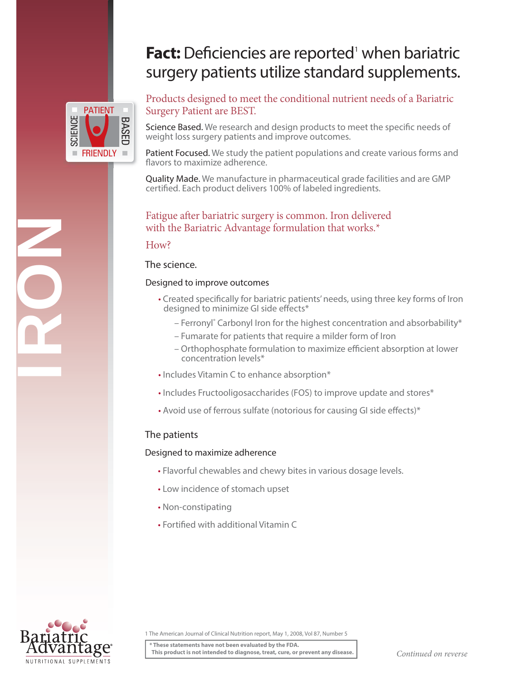# Fact: Deficiencies are reported<sup>1</sup> when bariatric surgery patients utilize standard supplements.



IRON

Products designed to meet the conditional nutrient needs of a Bariatric Surgery Patient are BEST.

Science Based. We research and design products to meet the specific needs of weight loss surgery patients and improve outcomes.

Patient Focused. We study the patient populations and create various forms and flavors to maximize adherence.

Quality Made. We manufacture in pharmaceutical grade facilities and are GMP certified. Each product delivers 100% of labeled ingredients.

# Fatigue after bariatric surgery is common. Iron delivered with the Bariatric Advantage formulation that works.\*

### How?

### The science.

### Designed to improve outcomes

- Created specifically for bariatric patients' needs, using three key forms of Iron designed to minimize GI side effects\*
	- Ferronyl<sup>®</sup> Carbonyl Iron for the highest concentration and absorbability\*
	- Fumarate for patients that require a milder form of Iron
	- Orthophosphate formulation to maximize efficient absorption at lower concentration levels\*
- Includes Vitamin C to enhance absorption\*
- Includes Fructooligosaccharides (FOS) to improve update and stores\*
- Avoid use of ferrous sulfate (notorious for causing GI side effects)\*

# The patients

# Designed to maximize adherence

- Flavorful chewables and chewy bites in various dosage levels.
- Low incidence of stomach upset
- Non-constipating
- Fortified with additional Vitamin C



1 The American Journal of Clinical Nutrition report, May 1, 2008, Vol 87, Number 5